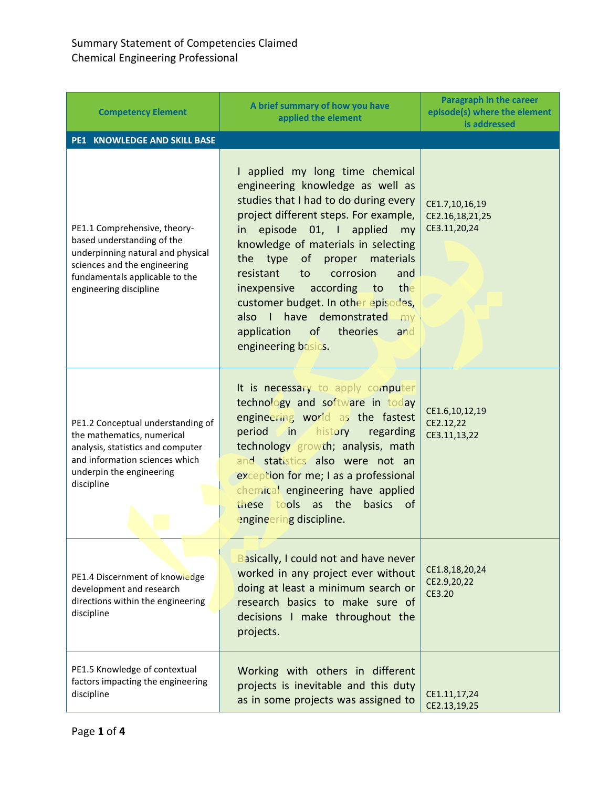| <b>Competency Element</b>                                                                                                                                                                   | A brief summary of how you have<br>applied the element                                                                                                                                                                                                                                                                                                                                                                                                                                       | Paragraph in the career<br>episode(s) where the element<br>is addressed |
|---------------------------------------------------------------------------------------------------------------------------------------------------------------------------------------------|----------------------------------------------------------------------------------------------------------------------------------------------------------------------------------------------------------------------------------------------------------------------------------------------------------------------------------------------------------------------------------------------------------------------------------------------------------------------------------------------|-------------------------------------------------------------------------|
| PE1 KNOWLEDGE AND SKILL BASE                                                                                                                                                                |                                                                                                                                                                                                                                                                                                                                                                                                                                                                                              |                                                                         |
| PE1.1 Comprehensive, theory-<br>based understanding of the<br>underpinning natural and physical<br>sciences and the engineering<br>fundamentals applicable to the<br>engineering discipline | I applied my long time chemical<br>engineering knowledge as well as<br>studies that I had to do during every<br>project different steps. For example,<br>episode 01, I applied<br>in<br>my<br>knowledge of materials in selecting<br>of proper materials<br>the type<br>resistant<br>corrosion<br>and<br>to<br>according to<br>the<br>inexpensive<br>customer budget. In other episodes,<br>have demonstrated<br>also I<br>my<br>of<br>theories<br>application<br>and<br>engineering basics. | CE1.7,10,16,19<br>CE2.16,18,21,25<br>CE3.11,20,24                       |
| PE1.2 Conceptual understanding of<br>the mathematics, numerical<br>analysis, statistics and computer<br>and information sciences which<br>underpin the engineering<br>discipline            | It is necessary to apply computer<br>technology and software in today<br>engineering world as the fastest<br>history<br>period<br>$\vee$ in $\swarrow$<br>regarding<br>technology growth; analysis, math<br>and statistics also were not an<br>exception for me; I as a professional<br>chemical engineering have applied<br>these tools as the<br>basics<br><b>of</b><br>engineering discipline.                                                                                            | CE1.6,10,12,19<br>CE2.12,22<br>CE3.11,13,22                             |
| PE1.4 Discernment of knowledge<br>development and research<br>directions within the engineering<br>discipline                                                                               | <b>Basically, I could not and have never</b><br>worked in any project ever without<br>doing at least a minimum search or<br>research basics to make sure of<br>decisions I make throughout the<br>projects.                                                                                                                                                                                                                                                                                  | CE1.8,18,20,24<br>CE2.9,20,22<br>CE3.20                                 |
| PE1.5 Knowledge of contextual<br>factors impacting the engineering<br>discipline                                                                                                            | Working with others in different<br>projects is inevitable and this duty<br>as in some projects was assigned to                                                                                                                                                                                                                                                                                                                                                                              | CE1.11,17,24<br>CE2.13,19,25                                            |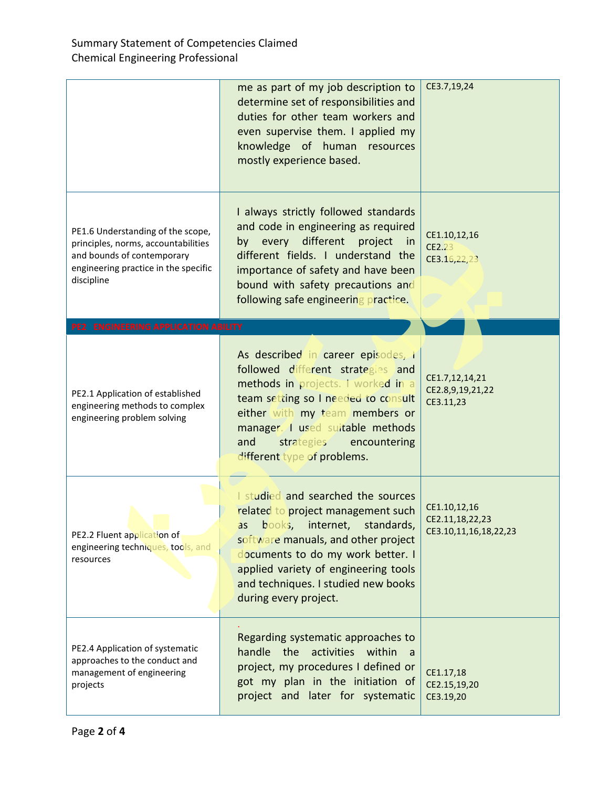|                                                                                                                                                              | me as part of my job description to<br>determine set of responsibilities and<br>duties for other team workers and<br>even supervise them. I applied my<br>knowledge of human resources<br>mostly experience based.                                                                             | CE3.7,19,24                                              |
|--------------------------------------------------------------------------------------------------------------------------------------------------------------|------------------------------------------------------------------------------------------------------------------------------------------------------------------------------------------------------------------------------------------------------------------------------------------------|----------------------------------------------------------|
| PE1.6 Understanding of the scope,<br>principles, norms, accountabilities<br>and bounds of contemporary<br>engineering practice in the specific<br>discipline | I always strictly followed standards<br>and code in engineering as required<br>by every different project<br>in<br>different fields. I understand the<br>importance of safety and have been<br>bound with safety precautions and<br>following safe engineering practice.                       | CE1.10,12,16<br>CE2.23<br>CE3.16,22,23                   |
| PE2 ENGINEERING APPLICATION ABILITY                                                                                                                          |                                                                                                                                                                                                                                                                                                |                                                          |
| PE2.1 Application of established<br>engineering methods to complex<br>engineering problem solving                                                            | As described in career episodes, I<br>followed different strategies and<br>methods in projects. I worked in a<br>team setting so I needed to consult<br>either with my team members or<br>manager. I used suitable methods<br>strategies encountering<br>and<br>different type of problems.    | CE1.7,12,14,21<br>CE2.8,9,19,21,22<br>CE3.11,23          |
| PE2.2 Fluent application of<br>engineering techniques, tools, and<br>resources                                                                               | I studied and searched the sources<br>related to project management such<br>as books, internet, standards,<br>software manuals, and other project<br>documents to do my work better. I<br>applied variety of engineering tools<br>and techniques. I studied new books<br>during every project. | CE1.10,12,16<br>CE2.11,18,22,23<br>CE3.10,11,16,18,22,23 |
| PE2.4 Application of systematic<br>approaches to the conduct and<br>management of engineering<br>projects                                                    | Regarding systematic approaches to<br>handle the activities within<br>a a<br>project, my procedures I defined or<br>got my plan in the initiation of<br>project and later for systematic                                                                                                       | CE1.17,18<br>CE2.15,19,20<br>CE3.19,20                   |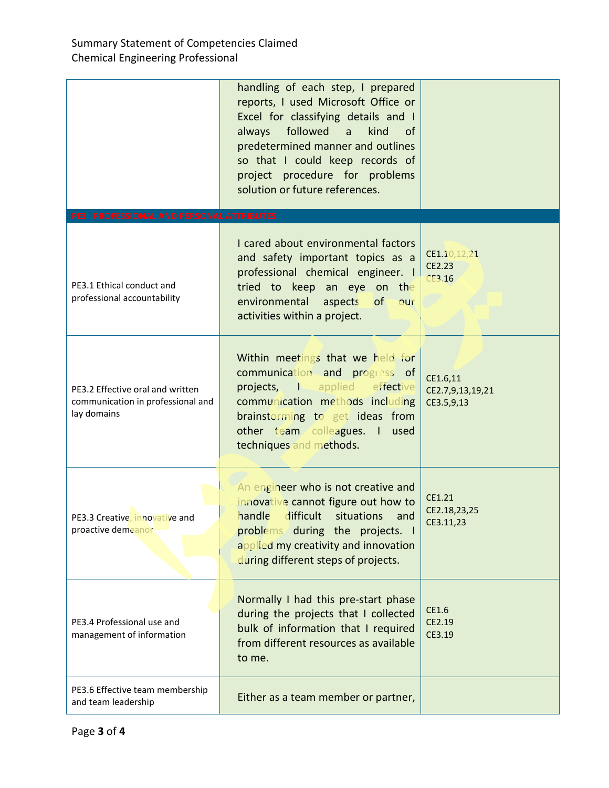|                                                                                      | handling of each step, I prepared<br>reports, I used Microsoft Office or<br>Excel for classifying details and I<br>followed<br>kind<br>always<br>a<br><sub>of</sub><br>predetermined manner and outlines<br>so that I could keep records of<br>project procedure for problems<br>solution or future references. |                                            |
|--------------------------------------------------------------------------------------|-----------------------------------------------------------------------------------------------------------------------------------------------------------------------------------------------------------------------------------------------------------------------------------------------------------------|--------------------------------------------|
| PE3 PROFESSIONAL AND PERSONAL ATTRIBUTES                                             |                                                                                                                                                                                                                                                                                                                 |                                            |
| PE3.1 Ethical conduct and<br>professional accountability                             | I cared about environmental factors<br>and safety important topics as a<br>professional chemical engineer. I<br>tried to keep an eye on the<br>environmental<br>aspects<br>of<br>our<br>activities within a project.                                                                                            | CE1.10,12,21<br>CE2.23<br>CE3.16           |
| PE3.2 Effective oral and written<br>communication in professional and<br>lay domains | Within meetings that we held for<br>communication and progress of<br>projects, I applied effective<br>communication methods including<br>brainstorming to get ideas from<br>other team colleagues. I<br>used<br>techniques and methods.                                                                         | CE1.6,11<br>CE2.7,9,13,19,21<br>CE3.5,9,13 |
| PE3.3 Creative, innovative and<br>proactive demeanor                                 | An engineer who is not creative and<br>innovative cannot figure out how to<br>handle<br>difficult situations<br>and<br>problems during the projects. I<br>applied my creativity and innovation<br>during different steps of projects.                                                                           | CE1.21<br>CE2.18,23,25<br>CE3.11.23        |
| PE3.4 Professional use and<br>management of information                              | Normally I had this pre-start phase<br>during the projects that I collected<br>bulk of information that I required<br>from different resources as available<br>to me.                                                                                                                                           | CE1.6<br>CE2.19<br>CE3.19                  |
| PE3.6 Effective team membership<br>and team leadership                               | Either as a team member or partner,                                                                                                                                                                                                                                                                             |                                            |